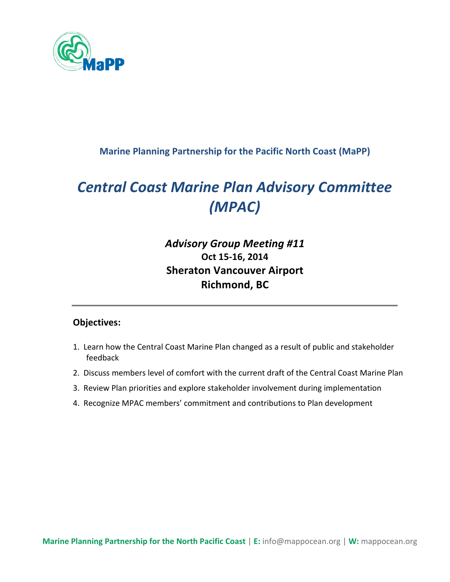

#### **Marine Planning Partnership for the Pacific North Coast (MaPP)**

# *Central Coast Marine Plan Advisory Committee (MPAC)*

## *Advisory Group Meeting #11* **Oct 15-16, 2014 Sheraton Vancouver Airport Richmond, BC**

#### **Objectives:**

- 1. Learn how the Central Coast Marine Plan changed as a result of public and stakeholder feedback
- 2. Discuss members level of comfort with the current draft of the Central Coast Marine Plan
- 3. Review Plan priorities and explore stakeholder involvement during implementation
- 4. Recognize MPAC members' commitment and contributions to Plan development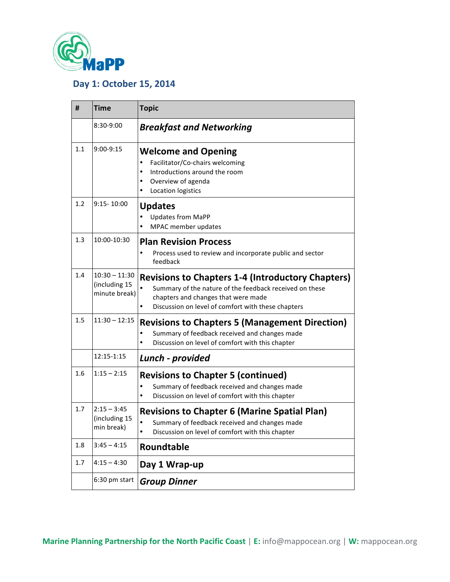

## **Day 1: October 15, 2014**

| #   | Time                                              | <b>Topic</b>                                                                                                                                                                                                                  |
|-----|---------------------------------------------------|-------------------------------------------------------------------------------------------------------------------------------------------------------------------------------------------------------------------------------|
|     | $8:30-9:00$                                       | <b>Breakfast and Networking</b>                                                                                                                                                                                               |
| 1.1 | 9:00-9:15                                         | <b>Welcome and Opening</b><br>Facilitator/Co-chairs welcoming<br>$\bullet$<br>Introductions around the room<br>$\bullet$<br>Overview of agenda<br>$\bullet$<br>Location logistics                                             |
| 1.2 | $9:15 - 10:00$                                    | <b>Updates</b><br><b>Updates from MaPP</b><br>MPAC member updates                                                                                                                                                             |
| 1.3 | 10:00-10:30                                       | <b>Plan Revision Process</b><br>Process used to review and incorporate public and sector<br>feedback                                                                                                                          |
| 1.4 | $10:30 - 11:30$<br>(including 15<br>minute break) | <b>Revisions to Chapters 1-4 (Introductory Chapters)</b><br>Summary of the nature of the feedback received on these<br>chapters and changes that were made<br>Discussion on level of comfort with these chapters<br>$\bullet$ |
| 1.5 | $11:30 - 12:15$                                   | <b>Revisions to Chapters 5 (Management Direction)</b><br>Summary of feedback received and changes made<br>Discussion on level of comfort with this chapter<br>$\bullet$                                                       |
|     | 12:15-1:15                                        | Lunch - provided                                                                                                                                                                                                              |
| 1.6 | $1:15 - 2:15$                                     | <b>Revisions to Chapter 5 (continued)</b><br>Summary of feedback received and changes made<br>٠<br>Discussion on level of comfort with this chapter<br>$\bullet$                                                              |
| 1.7 | $2:15 - 3:45$<br>(including 15<br>min break)      | <b>Revisions to Chapter 6 (Marine Spatial Plan)</b><br>Summary of feedback received and changes made<br>$\bullet$<br>Discussion on level of comfort with this chapter<br>$\bullet$                                            |
| 1.8 | $3:45 - 4:15$                                     | Roundtable                                                                                                                                                                                                                    |
| 1.7 | $4:15 - 4:30$                                     | Day 1 Wrap-up                                                                                                                                                                                                                 |
|     | 6:30 pm start                                     | <b>Group Dinner</b>                                                                                                                                                                                                           |